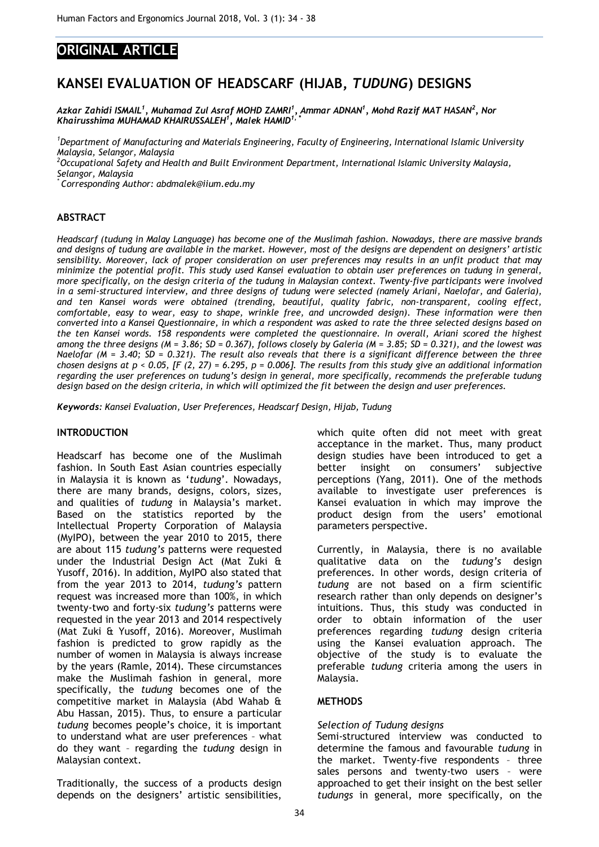# **ORIGINAL ARTICLE**

# **KANSEI EVALUATION OF HEADSCARF (HIJAB,** *TUDUNG***) DESIGNS**

*Azkar Zahidi ISMAIL<sup>1</sup> , Muhamad Zul Asraf MOHD ZAMRI<sup>1</sup> , Ammar ADNAN<sup>1</sup> , Mohd Razif MAT HASAN<sup>2</sup> , Nor Khairusshima MUHAMAD KHAIRUSSALEH<sup>1</sup> , Malek HAMID1, \**

*<sup>1</sup>Department of Manufacturing and Materials Engineering, Faculty of Engineering, International Islamic University Malaysia, Selangor, Malaysia*

*<sup>2</sup>Occupational Safety and Health and Built Environment Department, International Islamic University Malaysia, Selangor, Malaysia*

*\* Corresponding Author: abdmalek@iium.edu.my*

## **ABSTRACT**

*Headscarf (tudung in Malay Language) has become one of the Muslimah fashion. Nowadays, there are massive brands and designs of tudung are available in the market. However, most of the designs are dependent on designers' artistic sensibility. Moreover, lack of proper consideration on user preferences may results in an unfit product that may minimize the potential profit. This study used Kansei evaluation to obtain user preferences on tudung in general, more specifically, on the design criteria of the tudung in Malaysian context. Twenty-five participants were involved in a semi-structured interview, and three designs of tudung were selected (namely Ariani, Naelofar, and Galeria), and ten Kansei words were obtained (trending, beautiful, quality fabric, non-transparent, cooling effect, comfortable, easy to wear, easy to shape, wrinkle free, and uncrowded design). These information were then converted into a Kansei Questionnaire, in which a respondent was asked to rate the three selected designs based on the ten Kansei words. 158 respondents were completed the questionnaire. In overall, Ariani scored the highest among the three designs (M = 3.86; SD = 0.367), follows closely by Galeria (M = 3.85; SD = 0.321), and the lowest was Naelofar (M = 3.40; SD = 0.321). The result also reveals that there is a significant difference between the three chosen designs at p < 0.05, [F (2, 27) = 6.295, p = 0.006]. The results from this study give an additional information regarding the user preferences on tudung's design in general, more specifically, recommends the preferable tudung design based on the design criteria, in which will optimized the fit between the design and user preferences.* 

*Keywords: Kansei Evaluation, User Preferences, Headscarf Design, Hijab, Tudung*

## **INTRODUCTION**

Headscarf has become one of the Muslimah fashion. In South East Asian countries especially in Malaysia it is known as '*tudung*'. Nowadays, there are many brands, designs, colors, sizes, and qualities of *tudung* in Malaysia's market. Based on the statistics reported by the Intellectual Property Corporation of Malaysia (MyIPO), between the year 2010 to 2015, there are about 115 *tudung's* patterns were requested under the Industrial Design Act (Mat Zuki & Yusoff, 2016). In addition, MyIPO also stated that from the year 2013 to 2014, *tudung's* pattern request was increased more than 100%, in which twenty-two and forty-six *tudung's* patterns were requested in the year 2013 and 2014 respectively (Mat Zuki & Yusoff, 2016). Moreover, Muslimah fashion is predicted to grow rapidly as the number of women in Malaysia is always increase by the years (Ramle, 2014). These circumstances make the Muslimah fashion in general, more specifically, the *tudung* becomes one of the competitive market in Malaysia (Abd Wahab & Abu Hassan, 2015). Thus, to ensure a particular *tudung* becomes people's choice, it is important to understand what are user preferences – what do they want – regarding the *tudung* design in Malaysian context.

Traditionally, the success of a products design depends on the designers' artistic sensibilities,

which quite often did not meet with great acceptance in the market. Thus, many product design studies have been introduced to get a better insight on consumers' subjective perceptions (Yang, 2011). One of the methods available to investigate user preferences is Kansei evaluation in which may improve the product design from the users' emotional parameters perspective.

Currently, in Malaysia, there is no available qualitative data on the *tudung's* design preferences. In other words, design criteria of *tudung* are not based on a firm scientific research rather than only depends on designer's intuitions. Thus, this study was conducted in order to obtain information of the user preferences regarding *tudung* design criteria using the Kansei evaluation approach. The objective of the study is to evaluate the preferable *tudung* criteria among the users in Malaysia.

## **METHODS**

## *Selection of Tudung designs*

Semi-structured interview was conducted to determine the famous and favourable *tudung* in the market. Twenty-five respondents – three sales persons and twenty-two users – were approached to get their insight on the best seller *tudungs* in general, more specifically, on the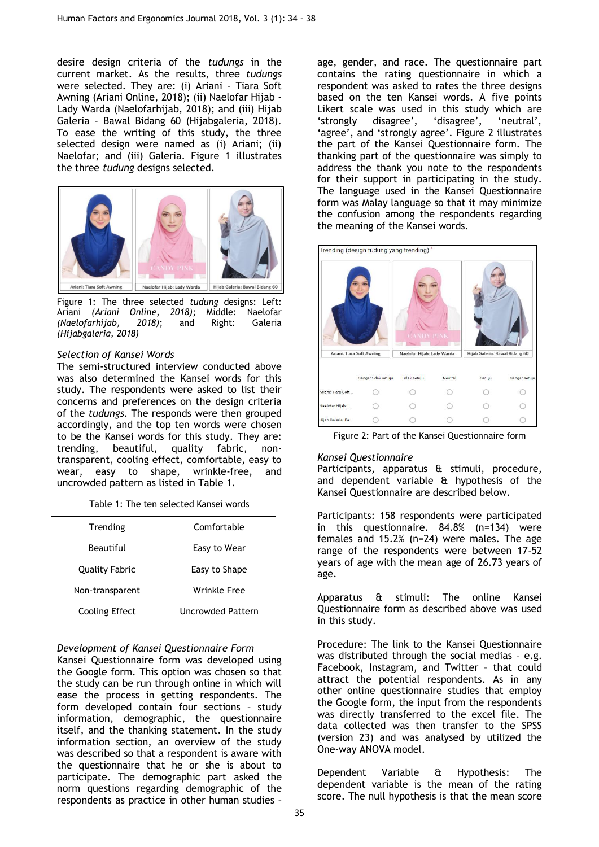desire design criteria of the *tudungs* in the current market. As the results, three *tudungs* were selected. They are: (i) Ariani - Tiara Soft Awning (Ariani Online, 2018); (ii) Naelofar Hijab - Lady Warda (Naelofarhijab, 2018); and (iii) Hijab Galeria - Bawal Bidang 60 (Hijabgaleria, 2018). To ease the writing of this study, the three selected design were named as (i) Ariani; (ii) Naelofar; and (iii) Galeria. [Figure 1](#page-1-0) illustrates the three *tudung* designs selected.



Figure 1: The three selected *tudung* designs: Left: Ariani *(Ariani Online, 2018)*; Middle: Naelofar *(Naelofarhijab, 2018)*; and Right: Galeria *(Hijabgaleria, 2018)*

## <span id="page-1-0"></span>*Selection of Kansei Words*

The semi-structured interview conducted above was also determined the Kansei words for this study. The respondents were asked to list their concerns and preferences on the design criteria of the *tudungs*. The responds were then grouped accordingly, and the top ten words were chosen to be the Kansei words for this study. They are: trending, beautiful, quality fabric, nontransparent, cooling effect, comfortable, easy to wear, easy to shape, wrinkle-free, and uncrowded pattern as listed in [Table 1.](#page-1-1)

Table 1: The ten selected Kansei words

<span id="page-1-1"></span>

| Trending        | Comfortable              |
|-----------------|--------------------------|
| Beautiful       | Easy to Wear             |
| Quality Fabric  | Easy to Shape            |
| Non-transparent | Wrinkle Free             |
| Cooling Effect  | <b>Uncrowded Pattern</b> |
|                 |                          |

#### *Development of Kansei Questionnaire Form*

Kansei Questionnaire form was developed using the Google form. This option was chosen so that the study can be run through online in which will ease the process in getting respondents. The form developed contain four sections – study information, demographic, the questionnaire itself, and the thanking statement. In the study information section, an overview of the study was described so that a respondent is aware with the questionnaire that he or she is about to participate. The demographic part asked the norm questions regarding demographic of the respondents as practice in other human studies –

age, gender, and race. The questionnaire part contains the rating questionnaire in which a respondent was asked to rates the three designs based on the ten Kansei words. A five points Likert scale was used in this study which are 'strongly disagree', 'disagree', 'neutral', 'agree', and 'strongly agree'. [Figure 2](#page-1-2) illustrates the part of the Kansei Questionnaire form. The thanking part of the questionnaire was simply to address the thank you note to the respondents for their support in participating in the study. The language used in the Kansei Questionnaire form was Malay language so that it may minimize the confusion among the respondents regarding the meaning of the Kansei words.



<span id="page-1-2"></span>Figure 2: Part of the Kansei Questionnaire form

#### *Kansei Questionnaire*

Participants, apparatus & stimuli, procedure, and dependent variable & hypothesis of the Kansei Questionnaire are described below.

Participants: 158 respondents were participated in this questionnaire. 84.8% (n=134) were females and 15.2% (n=24) were males. The age range of the respondents were between 17-52 years of age with the mean age of 26.73 years of age.

Apparatus & stimuli: The online Kansei Questionnaire form as described above was used in this study.

Procedure: The link to the Kansei Questionnaire was distributed through the social medias – e.g. Facebook, Instagram, and Twitter – that could attract the potential respondents. As in any other online questionnaire studies that employ the Google form, the input from the respondents was directly transferred to the excel file. The data collected was then transfer to the SPSS (version 23) and was analysed by utilized the One-way ANOVA model.

Dependent Variable & Hypothesis: The dependent variable is the mean of the rating score. The null hypothesis is that the mean score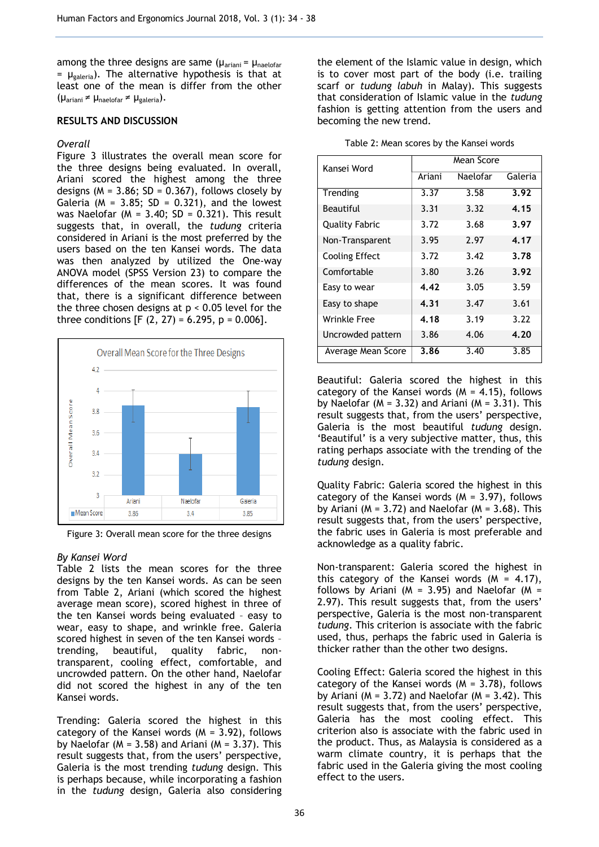among the three designs are same  $(\mu_{\text{ariani}} = \mu_{\text{naelofar}})$  $=$   $\mu_{\text{galeria}}$ ). The alternative hypothesis is that at least one of the mean is differ from the other  $(\mu_{\text{ariani}} \neq \mu_{\text{naelofar}} \neq \mu_{\text{galeria}}).$ 

#### **RESULTS AND DISCUSSION**

#### *Overall*

[Figure 3](#page-2-0) illustrates the overall mean score for the three designs being evaluated. In overall, Ariani scored the highest among the three designs ( $M = 3.86$ ; SD = 0.367), follows closely by Galeria ( $M = 3.85$ ; SD = 0.321), and the lowest was Naelofar ( $M = 3.40$ ; SD = 0.321). This result suggests that, in overall, the *tudung* criteria considered in Ariani is the most preferred by the users based on the ten Kansei words. The data was then analyzed by utilized the One-way ANOVA model (SPSS Version 23) to compare the differences of the mean scores. It was found that, there is a significant difference between the three chosen designs at  $p < 0.05$  level for the three conditions  $[F (2, 27) = 6.295, p = 0.006].$ 



<span id="page-2-0"></span>Figure 3: Overall mean score for the three designs

#### *By Kansei Word*

[Table 2](#page-2-1) lists the mean scores for the three designs by the ten Kansei words. As can be seen from [Table 2,](#page-2-1) Ariani (which scored the highest average mean score), scored highest in three of the ten Kansei words being evaluated – easy to wear, easy to shape, and wrinkle free. Galeria scored highest in seven of the ten Kansei words – trending, beautiful, quality fabric, nontransparent, cooling effect, comfortable, and uncrowded pattern. On the other hand, Naelofar did not scored the highest in any of the ten Kansei words.

Trending: Galeria scored the highest in this category of the Kansei words  $(M = 3.92)$ , follows by Naelofar ( $M = 3.58$ ) and Ariani ( $M = 3.37$ ). This result suggests that, from the users' perspective, Galeria is the most trending *tudung* design. This is perhaps because, while incorporating a fashion in the *tudung* design, Galeria also considering the element of the Islamic value in design, which is to cover most part of the body (i.e. trailing scarf or *tudung labuh* in Malay). This suggests that consideration of Islamic value in the *tudung* fashion is getting attention from the users and becoming the new trend.

| Table 2: Mean scores by the Kansei words |  |  |  |  |
|------------------------------------------|--|--|--|--|
|------------------------------------------|--|--|--|--|

<span id="page-2-1"></span>

| Kansei Word           | Mean Score |          |         |  |
|-----------------------|------------|----------|---------|--|
|                       | Ariani     | Naelofar | Galeria |  |
| Trending              | 3.37       | 3.58     | 3.92    |  |
| Beautiful             | 3.31       | 3.32     | 4.15    |  |
| <b>Quality Fabric</b> | 3.72       | 3.68     | 3.97    |  |
| Non-Transparent       | 3.95       | 2.97     | 4.17    |  |
| <b>Cooling Effect</b> | 3.72       | 3.42     | 3.78    |  |
| Comfortable           | 3.80       | 3.26     | 3.92    |  |
| Easy to wear          | 4.42       | 3.05     | 3.59    |  |
| Easy to shape         | 4.31       | 3.47     | 3.61    |  |
| Wrinkle Free          | 4.18       | 3.19     | 3.22    |  |
| Uncrowded pattern     | 3.86       | 4.06     | 4.20    |  |
| Average Mean Score    | 3.86       | 3.40     | 3.85    |  |

Beautiful: Galeria scored the highest in this category of the Kansei words  $(M = 4.15)$ , follows by Naelofar ( $M = 3.32$ ) and Ariani ( $M = 3.31$ ). This result suggests that, from the users' perspective, Galeria is the most beautiful *tudung* design. 'Beautiful' is a very subjective matter, thus, this rating perhaps associate with the trending of the *tudung* design.

Quality Fabric: Galeria scored the highest in this category of the Kansei words  $(M = 3.97)$ , follows by Ariani ( $M = 3.72$ ) and Naelofar ( $M = 3.68$ ). This result suggests that, from the users' perspective, the fabric uses in Galeria is most preferable and acknowledge as a quality fabric.

Non-transparent: Galeria scored the highest in this category of the Kansei words  $(M = 4.17)$ , follows by Ariani ( $M = 3.95$ ) and Naelofar ( $M =$ 2.97). This result suggests that, from the users' perspective, Galeria is the most non-transparent *tudung*. This criterion is associate with the fabric used, thus, perhaps the fabric used in Galeria is thicker rather than the other two designs.

Cooling Effect: Galeria scored the highest in this category of the Kansei words  $(M = 3.78)$ , follows by Ariani ( $M = 3.72$ ) and Naelofar ( $M = 3.42$ ). This result suggests that, from the users' perspective, Galeria has the most cooling effect. This criterion also is associate with the fabric used in the product. Thus, as Malaysia is considered as a warm climate country, it is perhaps that the fabric used in the Galeria giving the most cooling effect to the users.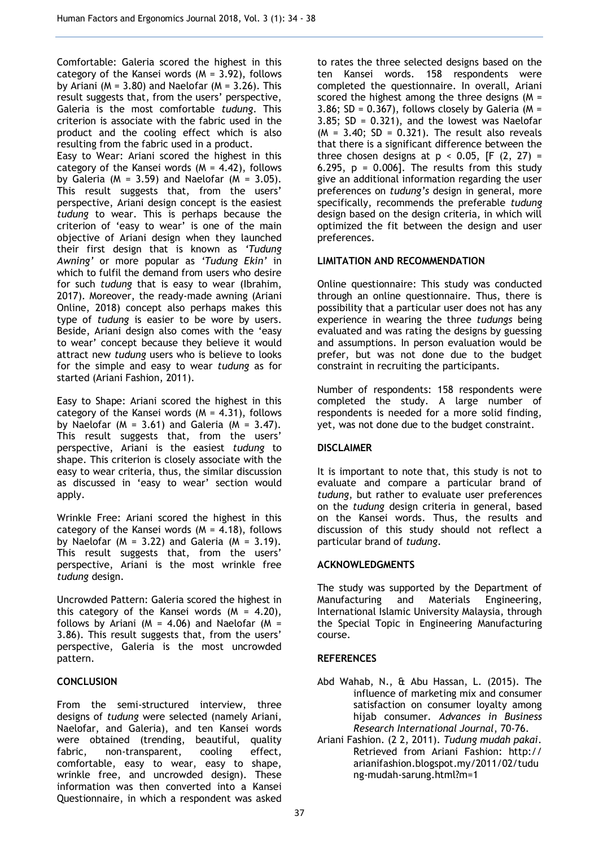Comfortable: Galeria scored the highest in this category of the Kansei words  $(M = 3.92)$ , follows by Ariani ( $M = 3.80$ ) and Naelofar ( $M = 3.26$ ). This result suggests that, from the users' perspective, Galeria is the most comfortable *tudung*. This criterion is associate with the fabric used in the product and the cooling effect which is also resulting from the fabric used in a product.

Easy to Wear: Ariani scored the highest in this category of the Kansei words  $(M = 4.42)$ , follows by Galeria ( $M = 3.59$ ) and Naelofar ( $M = 3.05$ ). This result suggests that, from the users' perspective, Ariani design concept is the easiest *tudung* to wear. This is perhaps because the criterion of 'easy to wear' is one of the main objective of Ariani design when they launched their first design that is known as *'Tudung Awning'* or more popular as *'Tudung Ekin'* in which to fulfil the demand from users who desire for such *tudung* that is easy to wear (Ibrahim, 2017). Moreover, the ready-made awning (Ariani Online, 2018) concept also perhaps makes this type of *tudung* is easier to be wore by users. Beside, Ariani design also comes with the 'easy to wear' concept because they believe it would attract new *tudung* users who is believe to looks for the simple and easy to wear *tudung* as for started (Ariani Fashion, 2011).

Easy to Shape: Ariani scored the highest in this category of the Kansei words  $(M = 4.31)$ , follows by Naelofar ( $M = 3.61$ ) and Galeria ( $M = 3.47$ ). This result suggests that, from the users' perspective, Ariani is the easiest *tudung* to shape. This criterion is closely associate with the easy to wear criteria, thus, the similar discussion as discussed in 'easy to wear' section would apply.

Wrinkle Free: Ariani scored the highest in this category of the Kansei words  $(M = 4.18)$ , follows by Naelofar ( $M = 3.22$ ) and Galeria ( $M = 3.19$ ). This result suggests that, from the users' perspective, Ariani is the most wrinkle free *tudung* design.

Uncrowded Pattern: Galeria scored the highest in this category of the Kansei words  $(M = 4.20)$ , follows by Ariani ( $M = 4.06$ ) and Naelofar ( $M =$ 3.86). This result suggests that, from the users' perspective, Galeria is the most uncrowded pattern.

# **CONCLUSION**

From the semi-structured interview, three designs of *tudung* were selected (namely Ariani, Naelofar, and Galeria), and ten Kansei words were obtained (trending, beautiful, quality fabric, non-transparent, cooling effect, comfortable, easy to wear, easy to shape, wrinkle free, and uncrowded design). These information was then converted into a Kansei Questionnaire, in which a respondent was asked

to rates the three selected designs based on the ten Kansei words. 158 respondents were completed the questionnaire. In overall, Ariani scored the highest among the three designs  $(M =$ 3.86; SD = 0.367), follows closely by Galeria ( $M =$  $3.85$ ; SD = 0.321), and the lowest was Naelofar  $(M = 3.40; SD = 0.321)$ . The result also reveals that there is a significant difference between the three chosen designs at  $p < 0.05$ , [F (2, 27) = 6.295,  $p = 0.006$ ]. The results from this study give an additional information regarding the user preferences on *tudung's* design in general, more specifically, recommends the preferable *tudung* design based on the design criteria, in which will optimized the fit between the design and user preferences.

# **LIMITATION AND RECOMMENDATION**

Online questionnaire: This study was conducted through an online questionnaire. Thus, there is possibility that a particular user does not has any experience in wearing the three *tudungs* being evaluated and was rating the designs by guessing and assumptions. In person evaluation would be prefer, but was not done due to the budget constraint in recruiting the participants.

Number of respondents: 158 respondents were completed the study. A large number of respondents is needed for a more solid finding, yet, was not done due to the budget constraint.

# **DISCLAIMER**

It is important to note that, this study is not to evaluate and compare a particular brand of *tudung*, but rather to evaluate user preferences on the *tudung* design criteria in general, based on the Kansei words. Thus, the results and discussion of this study should not reflect a particular brand of *tudung*.

# **ACKNOWLEDGMENTS**

The study was supported by the Department of Manufacturing and Materials Engineering, International Islamic University Malaysia, through the Special Topic in Engineering Manufacturing course.

# **REFERENCES**

- Abd Wahab, N., & Abu Hassan, L. (2015). The influence of marketing mix and consumer satisfaction on consumer loyalty among hijab consumer. *Advances in Business Research International Journal*, 70-76.
- Ariani Fashion. (2 2, 2011). *Tudung mudah pakai*. Retrieved from Ariani Fashion: http:// arianifashion.blogspot.my/2011/02/tudu ng-mudah-sarung.html?m=1